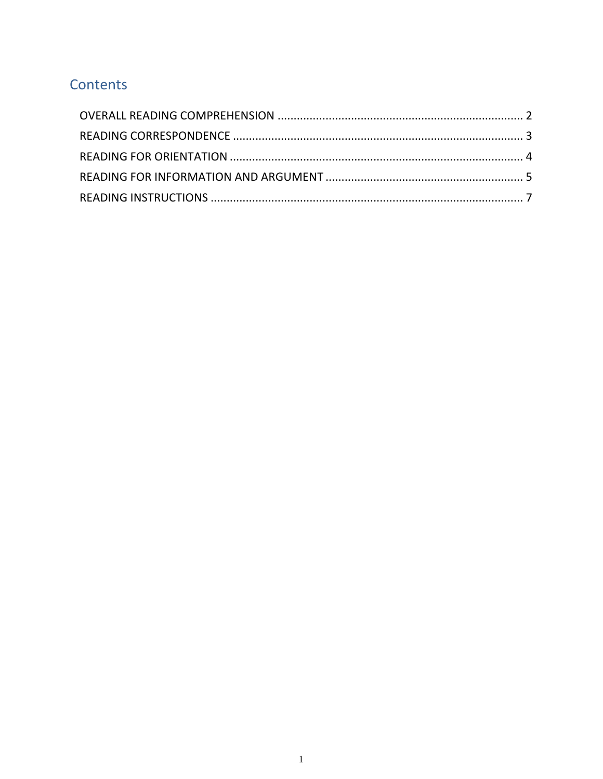## Contents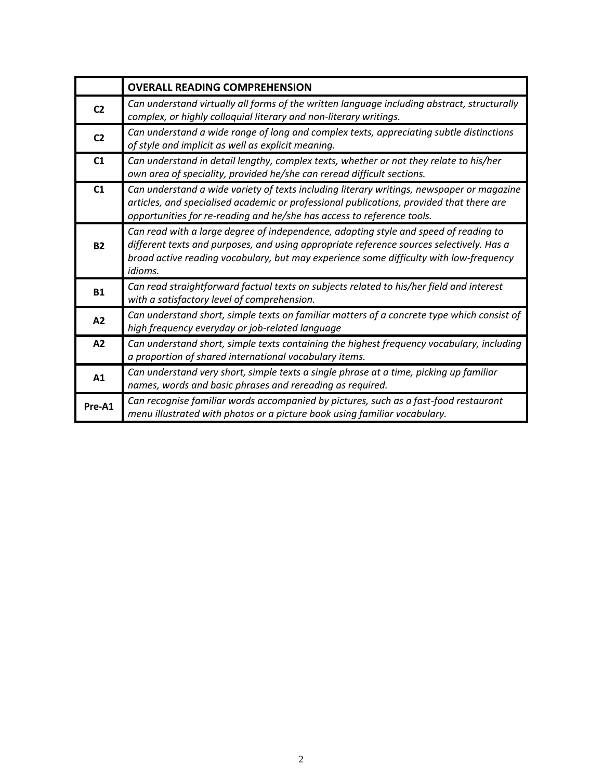<span id="page-1-0"></span>

|                | <b>OVERALL READING COMPREHENSION</b>                                                                                                                                                                                                                                                         |
|----------------|----------------------------------------------------------------------------------------------------------------------------------------------------------------------------------------------------------------------------------------------------------------------------------------------|
| C <sub>2</sub> | Can understand virtually all forms of the written language including abstract, structurally<br>complex, or highly colloquial literary and non-literary writings.                                                                                                                             |
| C <sub>2</sub> | Can understand a wide range of long and complex texts, appreciating subtle distinctions<br>of style and implicit as well as explicit meaning.                                                                                                                                                |
| C1             | Can understand in detail lengthy, complex texts, whether or not they relate to his/her<br>own area of speciality, provided he/she can reread difficult sections.                                                                                                                             |
| C1             | Can understand a wide variety of texts including literary writings, newspaper or magazine<br>articles, and specialised academic or professional publications, provided that there are<br>opportunities for re-reading and he/she has access to reference tools.                              |
| <b>B2</b>      | Can read with a large degree of independence, adapting style and speed of reading to<br>different texts and purposes, and using appropriate reference sources selectively. Has a<br>broad active reading vocabulary, but may experience some difficulty with low-frequency<br><i>idioms.</i> |
| <b>B1</b>      | Can read straightforward factual texts on subjects related to his/her field and interest<br>with a satisfactory level of comprehension.                                                                                                                                                      |
| A2             | Can understand short, simple texts on familiar matters of a concrete type which consist of<br>high frequency everyday or job-related language                                                                                                                                                |
| A2             | Can understand short, simple texts containing the highest frequency vocabulary, including<br>a proportion of shared international vocabulary items.                                                                                                                                          |
| A1             | Can understand very short, simple texts a single phrase at a time, picking up familiar<br>names, words and basic phrases and rereading as required.                                                                                                                                          |
| Pre-A1         | Can recognise familiar words accompanied by pictures, such as a fast-food restaurant<br>menu illustrated with photos or a picture book using familiar vocabulary.                                                                                                                            |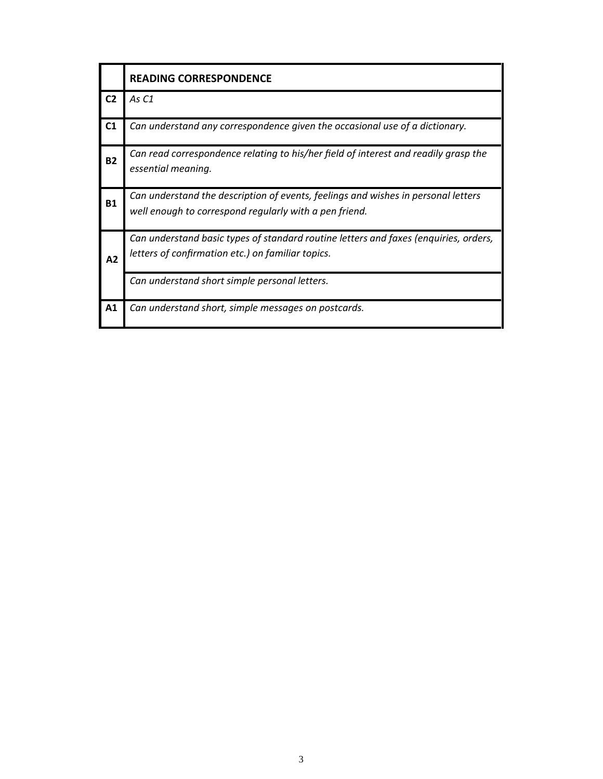<span id="page-2-0"></span>

|                | <b>READING CORRESPONDENCE</b>                                                                                                               |
|----------------|---------------------------------------------------------------------------------------------------------------------------------------------|
| C <sub>2</sub> | As C1                                                                                                                                       |
| C1             | Can understand any correspondence given the occasional use of a dictionary.                                                                 |
| <b>B2</b>      | Can read correspondence relating to his/her field of interest and readily grasp the<br>essential meaning.                                   |
| <b>B1</b>      | Can understand the description of events, feelings and wishes in personal letters<br>well enough to correspond regularly with a pen friend. |
| A2             | Can understand basic types of standard routine letters and faxes (enquiries, orders,<br>letters of confirmation etc.) on familiar topics.   |
|                | Can understand short simple personal letters.                                                                                               |
| A <sub>1</sub> | Can understand short, simple messages on postcards.                                                                                         |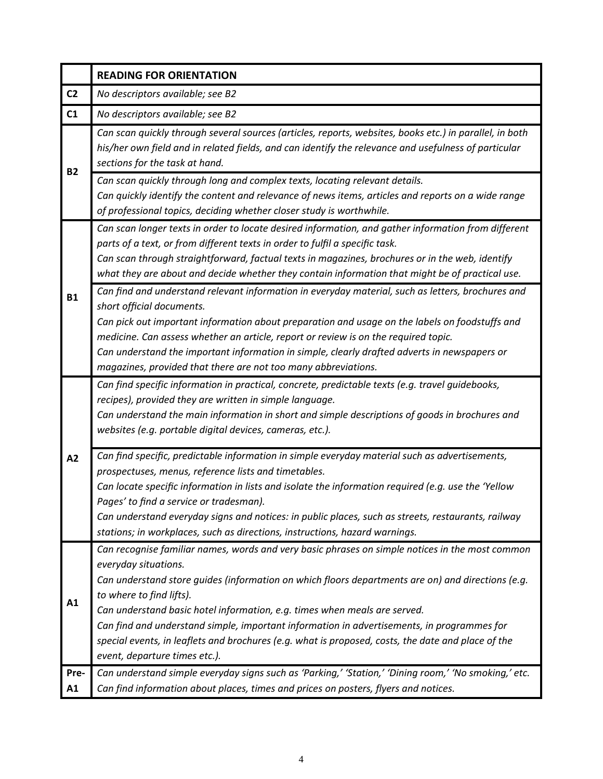<span id="page-3-0"></span>

|                | <b>READING FOR ORIENTATION</b>                                                                                                                                                                                                                                                                                                                                                                                                                                                                                                                                             |
|----------------|----------------------------------------------------------------------------------------------------------------------------------------------------------------------------------------------------------------------------------------------------------------------------------------------------------------------------------------------------------------------------------------------------------------------------------------------------------------------------------------------------------------------------------------------------------------------------|
| C <sub>2</sub> | No descriptors available; see B2                                                                                                                                                                                                                                                                                                                                                                                                                                                                                                                                           |
| C1             | No descriptors available; see B2                                                                                                                                                                                                                                                                                                                                                                                                                                                                                                                                           |
| <b>B2</b>      | Can scan quickly through several sources (articles, reports, websites, books etc.) in parallel, in both<br>his/her own field and in related fields, and can identify the relevance and usefulness of particular<br>sections for the task at hand.                                                                                                                                                                                                                                                                                                                          |
|                | Can scan quickly through long and complex texts, locating relevant details.<br>Can quickly identify the content and relevance of news items, articles and reports on a wide range<br>of professional topics, deciding whether closer study is worthwhile.                                                                                                                                                                                                                                                                                                                  |
| <b>B1</b>      | Can scan longer texts in order to locate desired information, and gather information from different<br>parts of a text, or from different texts in order to fulfil a specific task.<br>Can scan through straightforward, factual texts in magazines, brochures or in the web, identify<br>what they are about and decide whether they contain information that might be of practical use.                                                                                                                                                                                  |
|                | Can find and understand relevant information in everyday material, such as letters, brochures and<br>short official documents.<br>Can pick out important information about preparation and usage on the labels on foodstuffs and<br>medicine. Can assess whether an article, report or review is on the required topic.<br>Can understand the important information in simple, clearly drafted adverts in newspapers or<br>magazines, provided that there are not too many abbreviations.                                                                                  |
| A2             | Can find specific information in practical, concrete, predictable texts (e.g. travel guidebooks,<br>recipes), provided they are written in simple language.<br>Can understand the main information in short and simple descriptions of goods in brochures and<br>websites (e.g. portable digital devices, cameras, etc.).                                                                                                                                                                                                                                                  |
|                | Can find specific, predictable information in simple everyday material such as advertisements,<br>prospectuses, menus, reference lists and timetables.<br>Can locate specific information in lists and isolate the information required (e.g. use the 'Yellow<br>Pages' to find a service or tradesman).<br>Can understand everyday signs and notices: in public places, such as streets, restaurants, railway<br>stations; in workplaces, such as directions, instructions, hazard warnings.                                                                              |
| A1             | Can recognise familiar names, words and very basic phrases on simple notices in the most common<br>everyday situations.<br>Can understand store guides (information on which floors departments are on) and directions (e.g.<br>to where to find lifts).<br>Can understand basic hotel information, e.g. times when meals are served.<br>Can find and understand simple, important information in advertisements, in programmes for<br>special events, in leaflets and brochures (e.g. what is proposed, costs, the date and place of the<br>event, departure times etc.). |
| Pre-<br>A1     | Can understand simple everyday signs such as 'Parking,' 'Station,' 'Dining room,' 'No smoking,' etc.<br>Can find information about places, times and prices on posters, flyers and notices.                                                                                                                                                                                                                                                                                                                                                                                |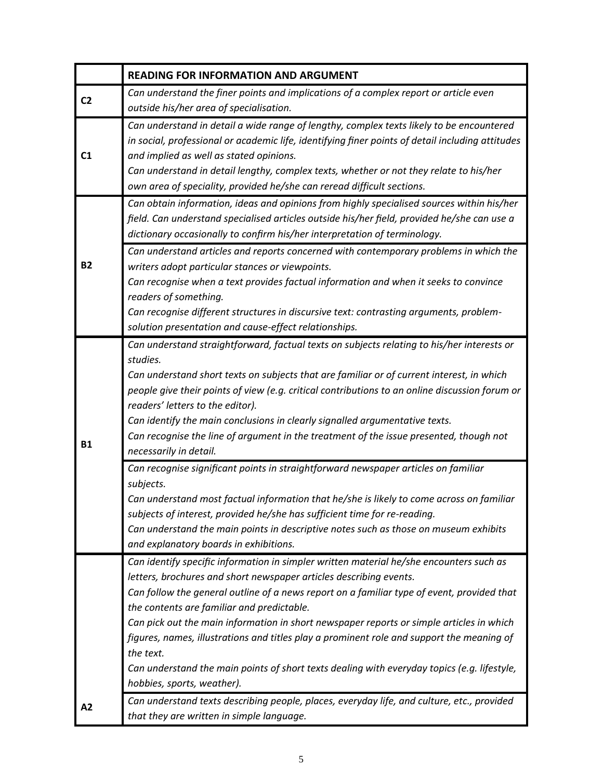<span id="page-4-0"></span>

|                | <b>READING FOR INFORMATION AND ARGUMENT</b>                                                                                                                                                                                                                                                                                                                                                                                                                                                                                                                                                                                                  |
|----------------|----------------------------------------------------------------------------------------------------------------------------------------------------------------------------------------------------------------------------------------------------------------------------------------------------------------------------------------------------------------------------------------------------------------------------------------------------------------------------------------------------------------------------------------------------------------------------------------------------------------------------------------------|
| C <sub>2</sub> | Can understand the finer points and implications of a complex report or article even<br>outside his/her area of specialisation.                                                                                                                                                                                                                                                                                                                                                                                                                                                                                                              |
| C <sub>1</sub> | Can understand in detail a wide range of lengthy, complex texts likely to be encountered<br>in social, professional or academic life, identifying finer points of detail including attitudes<br>and implied as well as stated opinions.<br>Can understand in detail lengthy, complex texts, whether or not they relate to his/her<br>own area of speciality, provided he/she can reread difficult sections.                                                                                                                                                                                                                                  |
|                | Can obtain information, ideas and opinions from highly specialised sources within his/her<br>field. Can understand specialised articles outside his/her field, provided he/she can use a<br>dictionary occasionally to confirm his/her interpretation of terminology.                                                                                                                                                                                                                                                                                                                                                                        |
| <b>B2</b>      | Can understand articles and reports concerned with contemporary problems in which the<br>writers adopt particular stances or viewpoints.<br>Can recognise when a text provides factual information and when it seeks to convince<br>readers of something.<br>Can recognise different structures in discursive text: contrasting arguments, problem-<br>solution presentation and cause-effect relationships.                                                                                                                                                                                                                                 |
| <b>B1</b>      | Can understand straightforward, factual texts on subjects relating to his/her interests or<br>studies.<br>Can understand short texts on subjects that are familiar or of current interest, in which<br>people give their points of view (e.g. critical contributions to an online discussion forum or<br>readers' letters to the editor).<br>Can identify the main conclusions in clearly signalled argumentative texts.<br>Can recognise the line of argument in the treatment of the issue presented, though not<br>necessarily in detail.                                                                                                 |
|                | Can recognise significant points in straightforward newspaper articles on familiar<br>subjects.<br>Can understand most factual information that he/she is likely to come across on familiar<br>subjects of interest, provided he/she has sufficient time for re-reading.<br>Can understand the main points in descriptive notes such as those on museum exhibits<br>and explanatory boards in exhibitions.                                                                                                                                                                                                                                   |
|                | Can identify specific information in simpler written material he/she encounters such as<br>letters, brochures and short newspaper articles describing events.<br>Can follow the general outline of a news report on a familiar type of event, provided that<br>the contents are familiar and predictable.<br>Can pick out the main information in short newspaper reports or simple articles in which<br>figures, names, illustrations and titles play a prominent role and support the meaning of<br>the text.<br>Can understand the main points of short texts dealing with everyday topics (e.g. lifestyle,<br>hobbies, sports, weather). |
| A2             | Can understand texts describing people, places, everyday life, and culture, etc., provided<br>that they are written in simple language.                                                                                                                                                                                                                                                                                                                                                                                                                                                                                                      |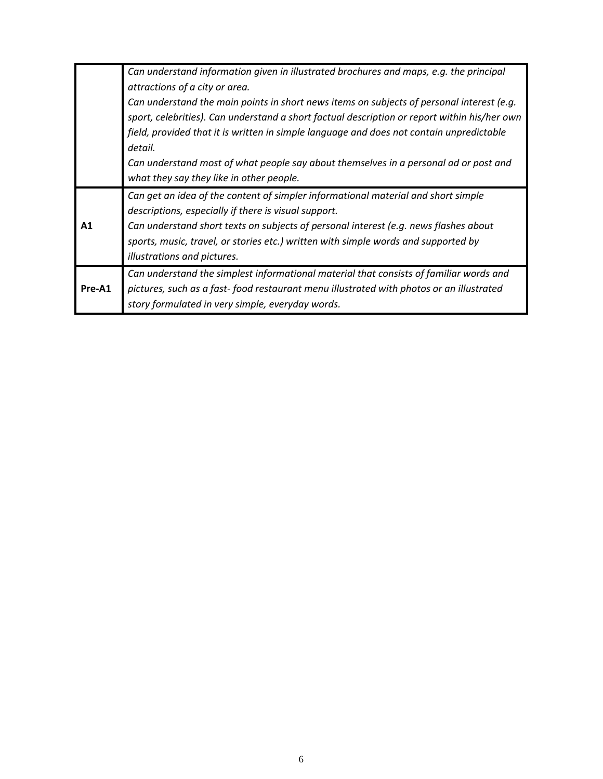|        | Can understand information given in illustrated brochures and maps, e.g. the principal       |
|--------|----------------------------------------------------------------------------------------------|
|        | attractions of a city or area.                                                               |
|        | Can understand the main points in short news items on subjects of personal interest (e.g.    |
|        | sport, celebrities). Can understand a short factual description or report within his/her own |
|        | field, provided that it is written in simple language and does not contain unpredictable     |
|        | detail.                                                                                      |
|        | Can understand most of what people say about themselves in a personal ad or post and         |
|        | what they say they like in other people.                                                     |
|        |                                                                                              |
|        | Can get an idea of the content of simpler informational material and short simple            |
|        | descriptions, especially if there is visual support.                                         |
| A1     | Can understand short texts on subjects of personal interest (e.g. news flashes about         |
|        | sports, music, travel, or stories etc.) written with simple words and supported by           |
|        | illustrations and pictures.                                                                  |
|        | Can understand the simplest informational material that consists of familiar words and       |
| Pre-A1 | pictures, such as a fast-food restaurant menu illustrated with photos or an illustrated      |